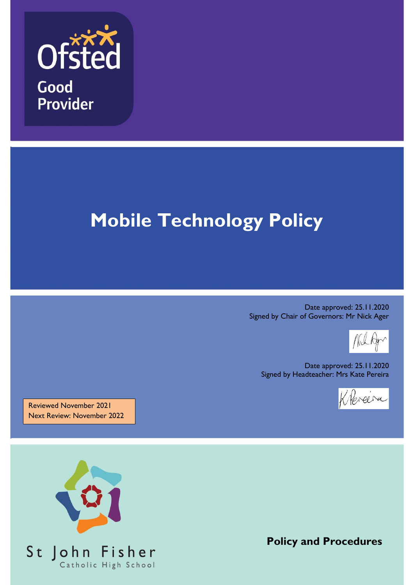

# **Mobile Technology Policy**

Date approved: 25.11.2020 Signed by Chair of Governors: Mr Nick Ager

Date approved: 25.11.2020 Signed by Headteacher: Mrs Kate Pereira



Reviewed November 2021 Next Review: November 2022



**Policy and Procedures**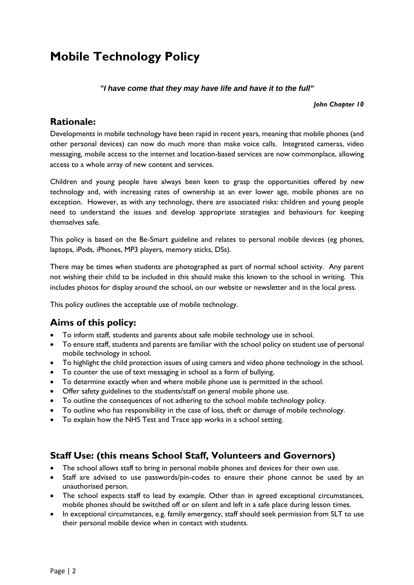# **Mobile Technology Policy**

#### *"I have come that they may have life and have it to the full"*

#### *John Chapter 10*

#### **Rationale:**

Developments in mobile technology have been rapid in recent years, meaning that mobile phones (and other personal devices) can now do much more than make voice calls. Integrated cameras, video messaging, mobile access to the internet and location-based services are now commonplace, allowing access to a whole array of new content and services.

Children and young people have always been keen to grasp the opportunities offered by new technology and, with increasing rates of ownership at an ever lower age, mobile phones are no exception. However, as with any technology, there are associated risks: children and young people need to understand the issues and develop appropriate strategies and behaviours for keeping themselves safe.

This policy is based on the Be-Smart guideline and relates to personal mobile devices (eg phones, laptops, iPods, iPhones, MP3 players, memory sticks, DSs).

There may be times when students are photographed as part of normal school activity. Any parent not wishing their child to be included in this should make this known to the school in writing. This includes photos for display around the school, on our website or newsletter and in the local press.

This policy outlines the acceptable use of mobile technology.

## **Aims of this policy:**

- To inform staff, students and parents about safe mobile technology use in school.
- To ensure staff, students and parents are familiar with the school policy on student use of personal mobile technology in school.
- To highlight the child protection issues of using camera and video phone technology in the school.
- To counter the use of text messaging in school as a form of bullying.
- To determine exactly when and where mobile phone use is permitted in the school.
- Offer safety guidelines to the students/staff on general mobile phone use.
- To outline the consequences of not adhering to the school mobile technology policy.
- To outline who has responsibility in the case of loss, theft or damage of mobile technology.
- To explain how the NHS Test and Trace app works in a school setting.

#### **Staff Use: (this means School Staff, Volunteers and Governors)**

- The school allows staff to bring in personal mobile phones and devices for their own use.
- Staff are advised to use passwords/pin-codes to ensure their phone cannot be used by an unauthorised person.
- The school expects staff to lead by example. Other than in agreed exceptional circumstances, mobile phones should be switched off or on silent and left in a safe place during lesson times.
- In exceptional circumstances, e.g. family emergency, staff should seek permission from SLT to use their personal mobile device when in contact with students.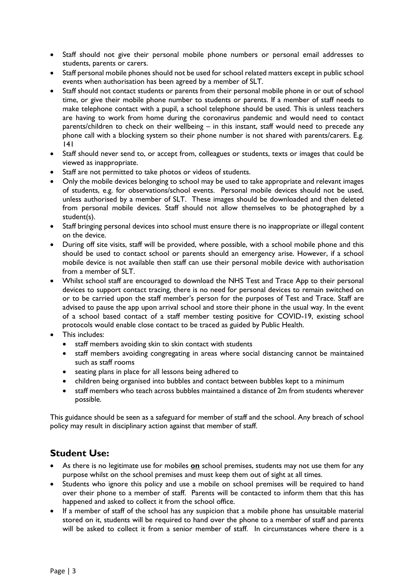- Staff should not give their personal mobile phone numbers or personal email addresses to students, parents or carers.
- Staff personal mobile phones should not be used for school related matters except in public school events when authorisation has been agreed by a member of SLT.
- Staff should not contact students or parents from their personal mobile phone in or out of school time, or give their mobile phone number to students or parents. If a member of staff needs to make telephone contact with a pupil, a school telephone should be used. This is unless teachers are having to work from home during the coronavirus pandemic and would need to contact parents/children to check on their wellbeing – in this instant, staff would need to precede any phone call with a blocking system so their phone number is not shared with parents/carers. E.g. 141
- Staff should never send to, or accept from, colleagues or students, texts or images that could be viewed as inappropriate.
- Staff are not permitted to take photos or videos of students.
- Only the mobile devices belonging to school may be used to take appropriate and relevant images of students, e.g. for observations/school events. Personal mobile devices should not be used, unless authorised by a member of SLT. These images should be downloaded and then deleted from personal mobile devices. Staff should not allow themselves to be photographed by a student(s).
- Staff bringing personal devices into school must ensure there is no inappropriate or illegal content on the device.
- During off site visits, staff will be provided, where possible, with a school mobile phone and this should be used to contact school or parents should an emergency arise. However, if a school mobile device is not available then staff can use their personal mobile device with authorisation from a member of SLT.
- Whilst school staff are encouraged to download the NHS Test and Trace App to their personal devices to support contact tracing, there is no need for personal devices to remain switched on or to be carried upon the staff member's person for the purposes of Test and Trace. Staff are advised to pause the app upon arrival school and store their phone in the usual way. In the event of a school based contact of a staff member testing positive for COVID-19, existing school protocols would enable close contact to be traced as guided by Public Health.
- This includes:
	- staff members avoiding skin to skin contact with students
	- staff members avoiding congregating in areas where social distancing cannot be maintained such as staff rooms
	- seating plans in place for all lessons being adhered to
	- children being organised into bubbles and contact between bubbles kept to a minimum
	- staff members who teach across bubbles maintained a distance of 2m from students wherever possible.

This guidance should be seen as a safeguard for member of staff and the school. Any breach of school policy may result in disciplinary action against that member of staff.

#### **Student Use:**

- As there is no legitimate use for mobiles **on** school premises, students may not use them for any purpose whilst on the school premises and must keep them out of sight at all times.
- Students who ignore this policy and use a mobile on school premises will be required to hand over their phone to a member of staff. Parents will be contacted to inform them that this has happened and asked to collect it from the school office.
- If a member of staff of the school has any suspicion that a mobile phone has unsuitable material stored on it, students will be required to hand over the phone to a member of staff and parents will be asked to collect it from a senior member of staff. In circumstances where there is a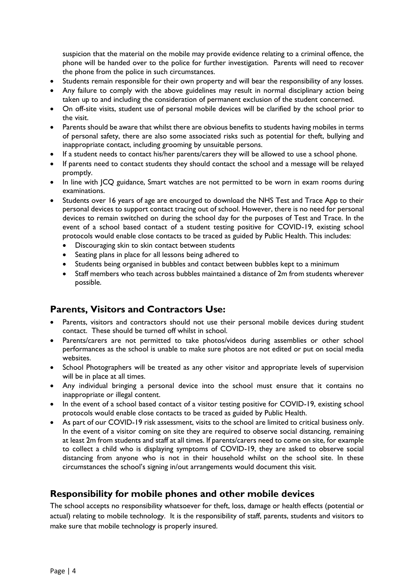suspicion that the material on the mobile may provide evidence relating to a criminal offence, the phone will be handed over to the police for further investigation. Parents will need to recover the phone from the police in such circumstances.

- Students remain responsible for their own property and will bear the responsibility of any losses.
- Any failure to comply with the above guidelines may result in normal disciplinary action being taken up to and including the consideration of permanent exclusion of the student concerned.
- On off-site visits, student use of personal mobile devices will be clarified by the school prior to the visit.
- Parents should be aware that whilst there are obvious benefits to students having mobiles in terms of personal safety, there are also some associated risks such as potential for theft, bullying and inappropriate contact, including grooming by unsuitable persons.
- If a student needs to contact his/her parents/carers they will be allowed to use a school phone.
- If parents need to contact students they should contact the school and a message will be relayed promptly.
- In line with JCQ guidance, Smart watches are not permitted to be worn in exam rooms during examinations.
- Students over 16 years of age are encourged to download the NHS Test and Trace App to their personal devices to support contact tracing out of school. However, there is no need for personal devices to remain switched on during the school day for the purposes of Test and Trace. In the event of a school based contact of a student testing positive for COVID-19, existing school protocols would enable close contacts to be traced as guided by Public Health. This includes:
	- Discouraging skin to skin contact between students
	- Seating plans in place for all lessons being adhered to
	- Students being organised in bubbles and contact between bubbles kept to a minimum
	- Staff members who teach across bubbles maintained a distance of 2m from students wherever possible.

#### **Parents, Visitors and Contractors Use:**

- Parents, visitors and contractors should not use their personal mobile devices during student contact. These should be turned off whilst in school.
- Parents/carers are not permitted to take photos/videos during assemblies or other school performances as the school is unable to make sure photos are not edited or put on social media websites.
- School Photographers will be treated as any other visitor and appropriate levels of supervision will be in place at all times.
- Any individual bringing a personal device into the school must ensure that it contains no inappropriate or illegal content.
- In the event of a school based contact of a visitor testing positive for COVID-19, existing school protocols would enable close contacts to be traced as guided by Public Health.
- As part of our COVID-19 risk assessment, visits to the school are limited to critical business only. In the event of a visitor coming on site they are required to observe social distancing, remaining at least 2m from students and staff at all times. If parents/carers need to come on site, for example to collect a child who is displaying symptoms of COVID-19, they are asked to observe social distancing from anyone who is not in their household whilst on the school site. In these circumstances the school's signing in/out arrangements would document this visit.

#### **Responsibility for mobile phones and other mobile devices**

The school accepts no responsibility whatsoever for theft, loss, damage or health effects (potential or actual) relating to mobile technology. It is the responsibility of staff, parents, students and visitors to make sure that mobile technology is properly insured.